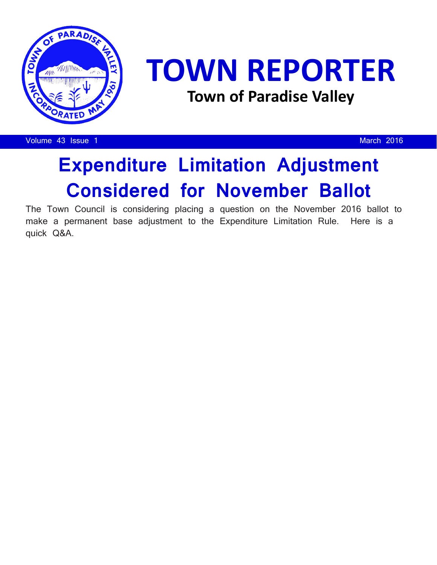

## **TOWN REPORTER Town of Paradise Valley**

Volume 43 Issue 1 and 2016 and 2016 and 2016 and 2016 and 2016 and 2016 and 2016 and 2016

## **Expenditure Limitation Adjustment Considered for November Ballot**

The Town Council is considering placing a question on the November 2016 ballot to make a permanent base adjustment to the Expenditure Limitation Rule. Here is a quick Q&A.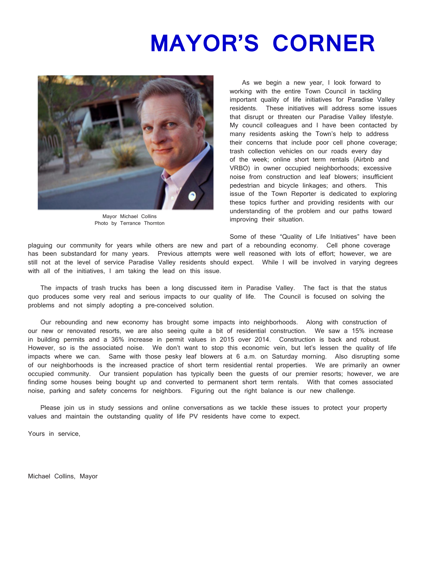## **MAYOR'S CORNER**



Mayor Michael Collins Photo by Terrance Thornton

 As we begin a new year, I look forward to working with the entire Town Council in tackling important quality of life initiatives for Paradise Valley residents. These initiatives will address some issues that disrupt or threaten our Paradise Valley lifestyle. My council colleagues and I have been contacted by many residents asking the Town's help to address their concerns that include poor cell phone coverage; trash collection vehicles on our roads every day of the week; online short term rentals (Airbnb and VRBO) in owner occupied neighborhoods; excessive noise from construction and leaf blowers; insufficient pedestrian and bicycle linkages; and others. This issue of the Town Reporter is dedicated to exploring these topics further and providing residents with our understanding of the problem and our paths toward improving their situation.

Some of these "Quality of Life Initiatives" have been

plaguing our community for years while others are new and part of a rebounding economy. Cell phone coverage has been substandard for many years. Previous attempts were well reasoned with lots of effort; however, we are still not at the level of service Paradise Valley residents should expect. While I will be involved in varying degrees with all of the initiatives, I am taking the lead on this issue.

 The impacts of trash trucks has been a long discussed item in Paradise Valley. The fact is that the status quo produces some very real and serious impacts to our quality of life. The Council is focused on solving the problems and not simply adopting a pre-conceived solution.

 Our rebounding and new economy has brought some impacts into neighborhoods. Along with construction of our new or renovated resorts, we are also seeing quite a bit of residential construction. We saw a 15% increase in building permits and a 36% increase in permit values in 2015 over 2014. Construction is back and robust. However, so is the associated noise. We don't want to stop this economic vein, but let's lessen the quality of life impacts where we can. Same with those pesky leaf blowers at 6 a.m. on Saturday morning. Also disrupting some of our neighborhoods is the increased practice of short term residential rental properties. We are primarily an owner occupied community. Our transient population has typically been the guests of our premier resorts; however, we are finding some houses being bought up and converted to permanent short term rentals. With that comes associated noise, parking and safety concerns for neighbors. Figuring out the right balance is our new challenge.

 Please join us in study sessions and online conversations as we tackle these issues to protect your property values and maintain the outstanding quality of life PV residents have come to expect.

Yours in service,

Michael Collins, Mayor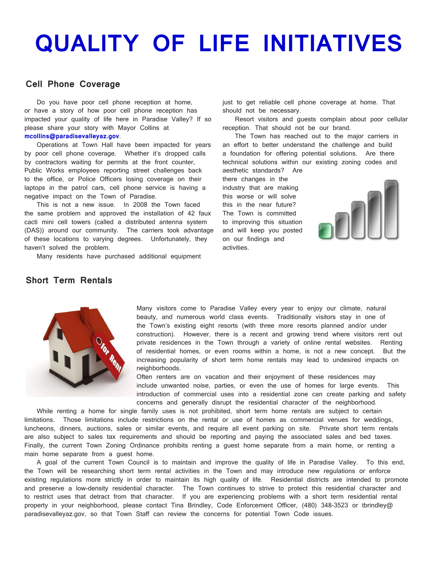## **QUALITY OF LIFE INITIATIVES**

### **Cell Phone Coverage**

 Do you have poor cell phone reception at home, or have a story of how poor cell phone reception has impacted your quality of life here in Paradise Valley? If so please share your story with Mayor Collins at **mcollins@paradisevalleyaz.gov**.

 Operations at Town Hall have been impacted for years by poor cell phone coverage. Whether it's dropped calls by contractors waiting for permits at the front counter, Public Works employees reporting street challenges back to the office, or Police Officers losing coverage on their laptops in the patrol cars, cell phone service is having a negative impact on the Town of Paradise.

 This is not a new issue. In 2008 the Town faced the same problem and approved the installation of 42 faux cacti mini cell towers (called a distributed antenna system (DAS)) around our community. The carriers took advantage of these locations to varying degrees. Unfortunately, they haven't solved the problem.

Many residents have purchased additional equipment

just to get reliable cell phone coverage at home. That should not be necessary.

 Resort visitors and guests complain about poor cellular reception. That should not be our brand.

 The Town has reached out to the major carriers in an effort to better understand the challenge and build a foundation for offering potential solutions. Are there technical solutions within our existing zoning codes and aesthetic standards? Are

there changes in the industry that are making this worse or will solve this in the near future? The Town is committed to improving this situation and will keep you posted on our findings and activities.



### **Short Term Rentals**



 Many visitors come to Paradise Valley every year to enjoy our climate, natural beauty, and numerous world class events. Traditionally visitors stay in one of the Town's existing eight resorts (with three more resorts planned and/or under construction). However, there is a recent and growing trend where visitors rent out private residences in the Town through a variety of online rental websites. Renting of residential homes, or even rooms within a home, is not a new concept. But the increasing popularity of short term home rentals may lead to undesired impacts on neighborhoods.

 Often renters are on vacation and their enjoyment of these residences may include unwanted noise, parties, or even the use of homes for large events. This introduction of commercial uses into a residential zone can create parking and safety concerns and generally disrupt the residential character of the neighborhood.

 While renting a home for single family uses is not prohibited, short term home rentals are subject to certain limitations. Those limitations include restrictions on the rental or use of homes as commercial venues for weddings, luncheons, dinners, auctions, sales or similar events, and require all event parking on site. Private short term rentals are also subject to sales tax requirements and should be reporting and paying the associated sales and bed taxes. Finally, the current Town Zoning Ordinance prohibits renting a guest home separate from a main home, or renting a main home separate from a guest home.

 A goal of the current Town Council is to maintain and improve the quality of life in Paradise Valley. To this end, the Town will be researching short term rental activities in the Town and may introduce new regulations or enforce existing regulations more strictly in order to maintain its high quality of life. Residential districts are intended to promote and preserve a low-density residential character. The Town continues to strive to protect this residential character and to restrict uses that detract from that character. If you are experiencing problems with a short term residential rental property in your neighborhood, please contact Tina Brindley, Code Enforcement Officer, (480) 348-3523 or tbrindley@ paradisevalleyaz.gov, so that Town Staff can review the concerns for potential Town Code issues.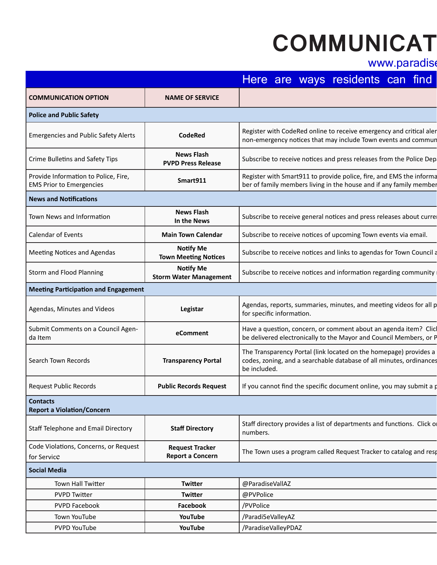# **COMMUNICAT**

## www.paradise

|                                                                         |                                                   | Here are ways residents can find                                                                                                                         |
|-------------------------------------------------------------------------|---------------------------------------------------|----------------------------------------------------------------------------------------------------------------------------------------------------------|
| <b>COMMUNICATION OPTION</b>                                             | <b>NAME OF SERVICE</b>                            |                                                                                                                                                          |
| <b>Police and Public Safety</b>                                         |                                                   |                                                                                                                                                          |
| <b>Emergencies and Public Safety Alerts</b>                             | <b>CodeRed</b>                                    | Register with CodeRed online to receive emergency and critical aler<br>non-emergency notices that may include Town events and commun                     |
| Crime Bulletins and Safety Tips                                         | <b>News Flash</b><br><b>PVPD Press Release</b>    | Subscribe to receive notices and press releases from the Police Dep                                                                                      |
| Provide Information to Police, Fire,<br><b>EMS Prior to Emergencies</b> | Smart911                                          | Register with Smart911 to provide police, fire, and EMS the informa<br>ber of family members living in the house and if any family member                |
| <b>News and Notifications</b>                                           |                                                   |                                                                                                                                                          |
| Town News and Information                                               | <b>News Flash</b><br>In the News                  | Subscribe to receive general notices and press releases about curre                                                                                      |
| <b>Calendar of Events</b>                                               | <b>Main Town Calendar</b>                         | Subscribe to receive notices of upcoming Town events via email.                                                                                          |
| Meeting Notices and Agendas                                             | <b>Notify Me</b><br><b>Town Meeting Notices</b>   | Subscribe to receive notices and links to agendas for Town Council a                                                                                     |
| Storm and Flood Planning                                                | <b>Notify Me</b><br><b>Storm Water Management</b> | Subscribe to receive notices and information regarding community                                                                                         |
| <b>Meeting Participation and Engagement</b>                             |                                                   |                                                                                                                                                          |
| Agendas, Minutes and Videos                                             | Legistar                                          | Agendas, reports, summaries, minutes, and meeting videos for all p<br>for specific information.                                                          |
| Submit Comments on a Council Agen-<br>da Item                           | eComment                                          | Have a question, concern, or comment about an agenda item? Clic<br>be delivered electronically to the Mayor and Council Members, or P                    |
| Search Town Records                                                     | <b>Transparency Portal</b>                        | The Transparency Portal (link located on the homepage) provides a<br>codes, zoning, and a searchable database of all minutes, ordinances<br>be included. |
| <b>Request Public Records</b>                                           | <b>Public Records Request</b>                     | If you cannot find the specific document online, you may submit a p                                                                                      |
| <b>Contacts</b><br><b>Report a Violation/Concern</b>                    |                                                   |                                                                                                                                                          |
| Staff Telephone and Email Directory                                     | <b>Staff Directory</b>                            | Staff directory provides a list of departments and functions. Click of<br>numbers.                                                                       |
| Code Violations, Concerns, or Request<br>for Service                    | <b>Request Tracker</b><br><b>Report a Concern</b> | The Town uses a program called Request Tracker to catalog and resp                                                                                       |
| <b>Social Media</b>                                                     |                                                   |                                                                                                                                                          |
| Town Hall Twitter                                                       | Twitter                                           | @ParadiseVallAZ                                                                                                                                          |
| <b>PVPD Twitter</b>                                                     | Twitter                                           | @PVPolice                                                                                                                                                |
| PVPD Facebook                                                           | Facebook                                          | /PVPolice                                                                                                                                                |
| Town YouTube                                                            | YouTube                                           | /Paradi5eValleyAZ                                                                                                                                        |
| PVPD YouTube                                                            | YouTube                                           | /ParadiseValleyPDAZ                                                                                                                                      |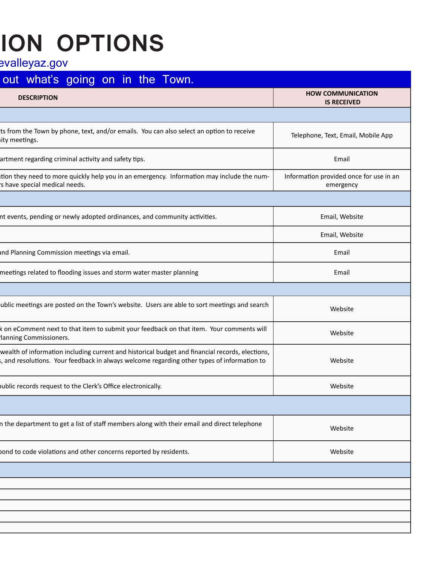# **ION OPTIONS**

evalleyaz.gov

## out what's going on in the Town. **COMMUNICATION OPTION NAME OF SERVICE DESCRIPTION HOW COMMUNICATION IS RECEIVED** ts from the Town by phone, text, and/or emails. You can also select an option to receive ity meetings. non-emergency phone, text, and/or emails. Towean also select an option to receive Telephone, Text, Email, Mobile App<br>Ity meetings. artment regarding criminal activity and safety tips. **Email activity and press releases releases** from the Police Police Department regarding criminal activity and safety tips. Email and safety tips. Email and safety tips. tion they need to more quickly help you in an emergency. Information may include the nums have special medical needs. Information provided once for use in an emergency In the Newsas Subscribe to receive general notices and press releases and press releases about current events, pending or newly adopted ordinances, and community activities. **Email**, Website and the state of the state of t Calendar of Events **Main Town Calendar** Subscribe to receive notices of upcoming Town events via email. Email, Website **Town Meeting Notices** Subscribe to receive notices and links to receive notices and Planning Commission meetings via email. Email **Storm Water Management Subscribe to receive to receive the subscribe of the community meetings related to flooding issues and storm water master planning Email** ublic meetings are posted on the Town's website. Users are able to sort meetings and search able incernigs are posted on the fown's website. Osers are able to soft incernigs and search k on eComment next to that item to submit your feedback on that item. Your comments will lanning Commissioners. be december heat to that herm to submite your recuback on that hem. Tour comments will be a subsite website website wealth of information including current and historical budget and financial records, elections, s, and resolutions. Your feedback in always welcome regarding other types of information to Website Request Public Records **Public Records Request** If you cannot find the specific document online, you may submit a public records request to the Clerk's Office electronically. Website n the department to get a list of staff members along with their email and direct telephone n the department to get a fist of staff includers along with their email and affect telephone **Report a Concernation Tracker to Concernity Tracker to Concernations Tracker to concern a program catalog and re<br>
<b>Request Tracker to Concernity Tracker to Concern a Concernations Concernations Concernations Concernations**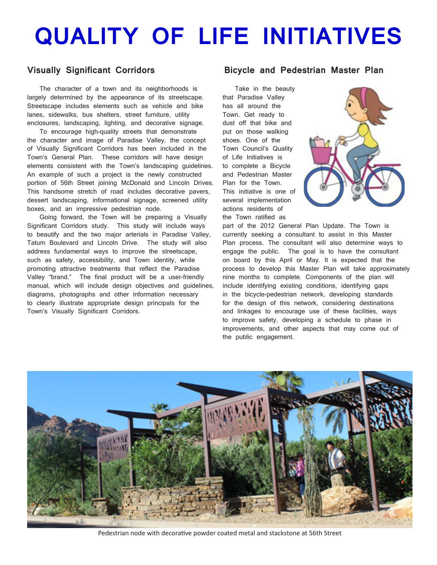# **QUALITY OF LIFE INITIATIVES**

## **Visually Significant Corridors**

 The character of a town and its neighborhoods is largely determined by the appearance of its streetscape. Streetscape includes elements such as vehicle and bike lanes, sidewalks, bus shelters, street furniture, utility enclosures, landscaping, lighting, and decorative signage.

 To encourage high-quality streets that demonstrate the character and image of Paradise Valley, the concept of Visually Significant Corridors has been included in the Town's General Plan. These corridors will have design elements consistent with the Town's landscaping guidelines. An example of such a project is the newly constructed portion of 56th Street joining McDonald and Lincoln Drives. This handsome stretch of road includes decorative pavers, dessert landscaping, informational signage, screened utility boxes, and an impressive pedestrian node.

 Going forward, the Town will be preparing a Visually Significant Corridors study. This study will include ways to beautify and the two major arterials in Paradise Valley, Tatum Boulevard and Lincoln Drive. The study will also address fundamental ways to improve the streetscape, such as safety, accessibility, and Town identity, while promoting attractive treatments that reflect the Paradise Valley "brand." The final product will be a user-friendly manual, which will include design objectives and guidelines, diagrams, photographs and other information necessary to clearly illustrate appropriate design principals for the Town's Visually Significant Corridors.

#### **Bicycle and Pedestrian Master Plan**

 Take in the beauty that Paradise Valley has all around the Town. Get ready to dust off that bike and put on those walking shoes. One of the Town Council's Quality of Life Initiatives is to complete a Bicycle and Pedestrian Master Plan for the Town. This initiative is one of several implementation actions residents of the Town ratified as



part of the 2012 General Plan Update. The Town is currently seeking a consultant to assist in this Master Plan process. The consultant will also determine ways to engage the public. The goal is to have the consultant on board by this April or May. It is expected that the process to develop this Master Plan will take approximately nine months to complete. Components of the plan will include identifying existing conditions, identifying gaps in the bicycle-pedestrian network, developing standards for the design of this network, considering destinations and linkages to encourage use of these facilities, ways to improve safety, developing a schedule to phase in improvements, and other aspects that may come out of the public engagement.



Pedestrian node with decorative powder coated metal and stackstone at 56th Street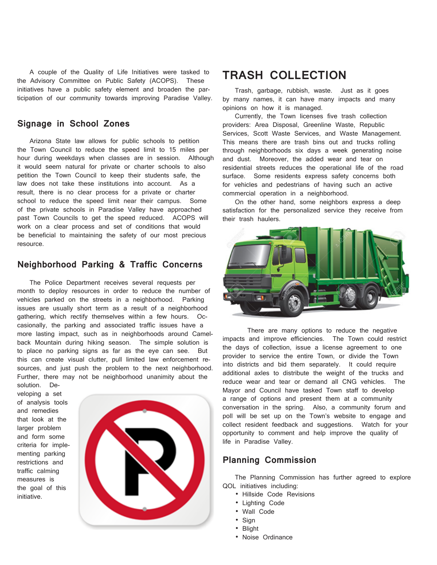A couple of the Quality of Life Initiatives were tasked to the Advisory Committee on Public Safety (ACOPS). These initiatives have a public safety element and broaden the participation of our community towards improving Paradise Valley.

### **Signage in School Zones**

 Arizona State law allows for public schools to petition the Town Council to reduce the speed limit to 15 miles per hour during weekdays when classes are in session. Although it would seem natural for private or charter schools to also petition the Town Council to keep their students safe, the law does not take these institutions into account. As a result, there is no clear process for a private or charter school to reduce the speed limit near their campus. Some of the private schools in Paradise Valley have approached past Town Councils to get the speed reduced. ACOPS will work on a clear process and set of conditions that would be beneficial to maintaining the safety of our most precious resource.

### **Neighborhood Parking & Traffic Concerns**

 The Police Department receives several requests per month to deploy resources in order to reduce the number of vehicles parked on the streets in a neighborhood. Parking issues are usually short term as a result of a neighborhood gathering, which rectify themselves within a few hours. Occasionally, the parking and associated traffic issues have a more lasting impact, such as in neighborhoods around Camelback Mountain during hiking season. The simple solution is to place no parking signs as far as the eye can see. But this can create visual clutter, pull limited law enforcement resources, and just push the problem to the next neighborhood. Further, there may not be neighborhood unanimity about the

solution. Developing a set of analysis tools and remedies that look at the larger problem and form some criteria for implementing parking restrictions and traffic calming measures is the goal of this initiative.



## **TRASH COLLECTION**

 Trash, garbage, rubbish, waste. Just as it goes by many names, it can have many impacts and many opinions on how it is managed.

 Currently, the Town licenses five trash collection providers: Area Disposal, Greenline Waste, Republic Services, Scott Waste Services, and Waste Management. This means there are trash bins out and trucks rolling through neighborhoods six days a week generating noise and dust. Moreover, the added wear and tear on residential streets reduces the operational life of the road surface. Some residents express safety concerns both for vehicles and pedestrians of having such an active commercial operation in a neighborhood.

 On the other hand, some neighbors express a deep satisfaction for the personalized service they receive from their trash haulers.



 There are many options to reduce the negative impacts and improve efficiencies. The Town could restrict the days of collection, issue a license agreement to one provider to service the entire Town, or divide the Town into districts and bid them separately. It could require additional axles to distribute the weight of the trucks and reduce wear and tear or demand all CNG vehicles. The Mayor and Council have tasked Town staff to develop a range of options and present them at a community conversation in the spring. Also, a community forum and poll will be set up on the Town's website to engage and collect resident feedback and suggestions. Watch for your opportunity to comment and help improve the quality of life in Paradise Valley.

### **Planning Commission**

 The Planning Commission has further agreed to explore QOL initiatives including:

- Hillside Code Revisions
- Lighting Code
- Wall Code
- Sign
- Blight
- Noise Ordinance